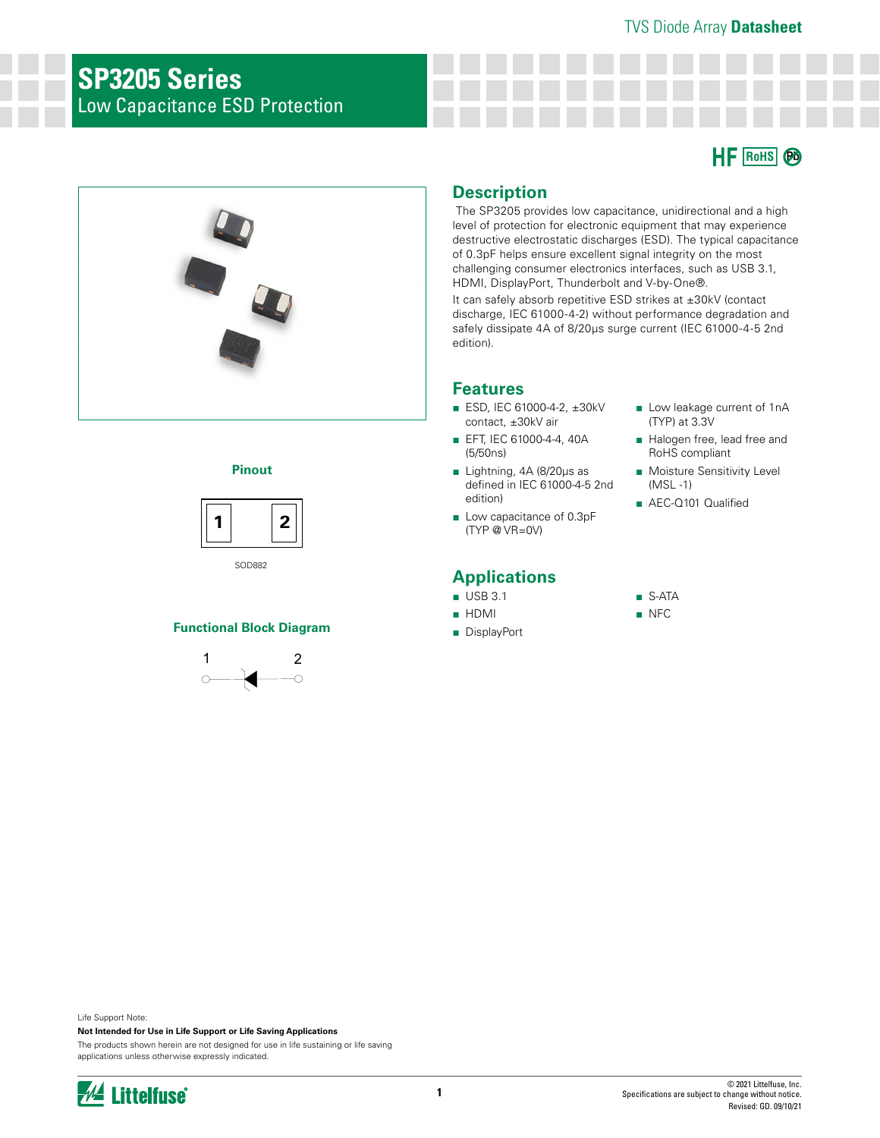# **SP3205 Series** Low Capacitance ESD Protection





#### **Pinout**



SOD882

#### **Functional Block Diagram**



## **Description**

 The SP3205 provides low capacitance, unidirectional and a high level of protection for electronic equipment that may experience destructive electrostatic discharges (ESD). The typical capacitance of 0.3pF helps ensure excellent signal integrity on the most challenging consumer electronics interfaces, such as USB 3.1, HDMI, DisplayPort, Thunderbolt and V-by-One®.

It can safely absorb repetitive ESD strikes at ±30kV (contact discharge, IEC 61000-4-2) without performance degradation and safely dissipate 4A of 8/20μs surge current (IEC 61000-4-5 2nd edition).

# **Features**

- ESD, IEC 61000-4-2, ±30kV contact, ±30kV air
- EFT, IEC 61000-4-4, 40A (5/50ns)
- Lightning, 4A (8/20μs as defined in IEC 61000-4-5 2nd edition)
- Low capacitance of 0.3pF (TYP @ VR=0V)

# **Applications**

- USB 3.1
- HDMI
- DisplayPort
- Low leakage current of 1nA (TYP) at 3.3V
- Halogen free, lead free and RoHS compliant
- Moisture Sensitivity Level (MSL -1)
- AEC-Q101 Qualified
- S-ATA
- NFC

Life Support Note:

**Not Intended for Use in Life Support or Life Saving Applications**

The products shown herein are not designed for use in life sustaining or life saving applications unless otherwise expressly indicated.

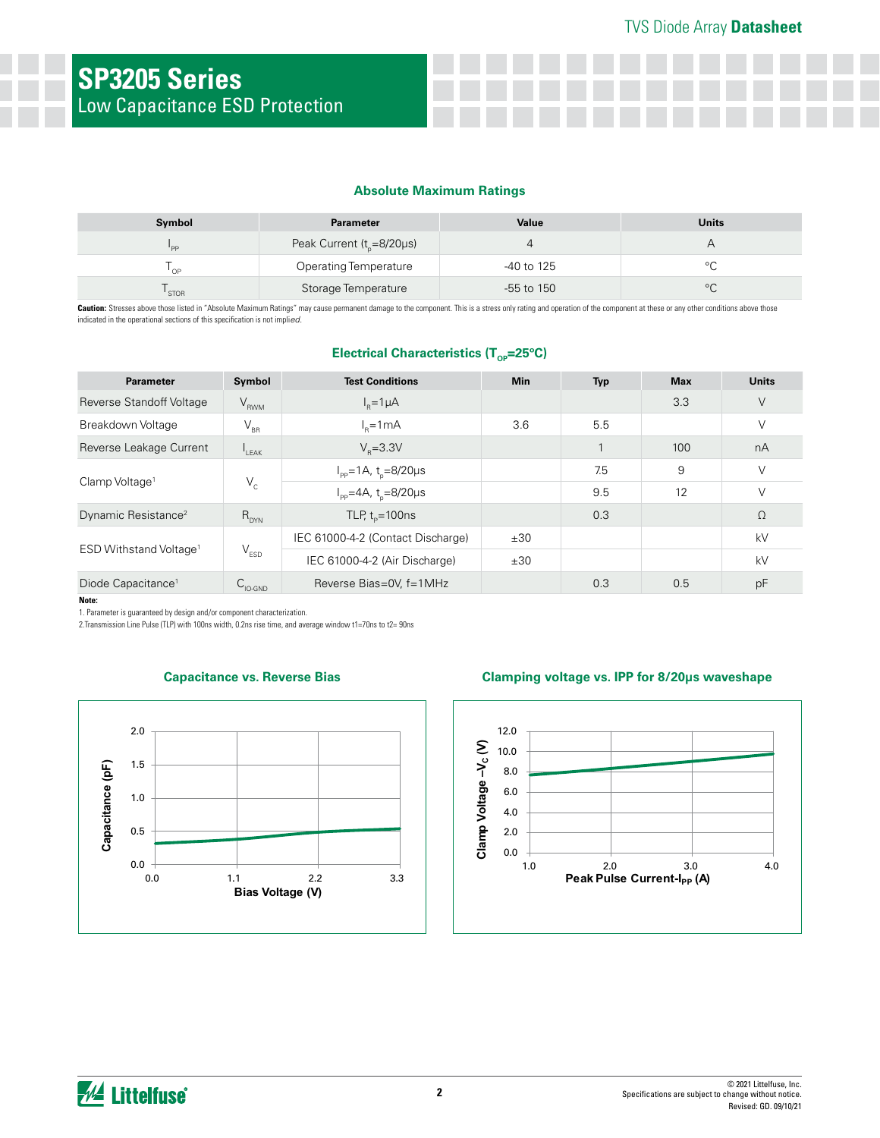#### **Absolute Maximum Ratings**

| Symbol      | <b>Parameter</b>                | Value        | <b>Units</b> |
|-------------|---------------------------------|--------------|--------------|
| 'PP         | Peak Current ( $t_{0}$ =8/20µs) | 4            |              |
| OP          | <b>Operating Temperature</b>    | -40 to 125   |              |
| <b>STOR</b> | Storage Temperature             | $-55$ to 150 | $\circ$      |

Caution: Stresses above those listed in "Absolute Maximum Ratings" may cause permanent damage to the component. This is a stress only rating and operation of the component at these or any other conditions above those indicated in the operational sections of this specification is not impli*ed.*

### **Electrical Characteristics (T<sub>op</sub>=25°C)**

| <b>Parameter</b>                   | Symbol                      | <b>Test Conditions</b>                     | <b>Min</b> | <b>Typ</b> | <b>Max</b> | <b>Units</b> |
|------------------------------------|-----------------------------|--------------------------------------------|------------|------------|------------|--------------|
| Reverse Standoff Voltage           | $V_{RWM}$                   | $I_p = 1 \mu A$                            |            |            | 3.3        | $\vee$       |
| Breakdown Voltage                  | $V_{\rm BR}$                | $l_{p}=1mA$                                | 3.6        | 5.5        |            | V            |
| Reverse Leakage Current            | $I_{LEAK}$                  | $V_{p} = 3.3V$                             |            |            | 100        | nA           |
|                                    |                             | $I_{\rm pp} = 1$ A, t <sub>n</sub> =8/20µs |            | 7.5        | 9          | V            |
| Clamp Voltage <sup>1</sup>         | $V_c$                       | $I_{\rm pp} = 4A$ , t <sub>n</sub> =8/20µs |            | 9.5        | 12         | V            |
| Dynamic Resistance <sup>2</sup>    | $R_{DYN}$                   | TLP, $t_p = 100$ ns                        |            | 0.3        |            | Ω            |
|                                    |                             | IEC 61000-4-2 (Contact Discharge)          | ±30        |            |            | kV           |
| ESD Withstand Voltage <sup>1</sup> | $\mathsf{V}_{\texttt{ESD}}$ | IEC 61000-4-2 (Air Discharge)              | ±30        |            |            | kV           |
| Diode Capacitance <sup>1</sup>     | $C_{\text{IO-GND}}$         | Reverse Bias=0V, f=1MHz                    |            | 0.3        | 0.5        | pF           |

**Note:**

1. Parameter is guaranteed by design and/or component characterization.

2.Transmission Line Pulse (TLP) with 100ns width, 0.2ns rise time, and average window t1=70ns to t2= 90ns



#### **Capacitance vs. Reverse Bias Clamping voltage vs. IPP for 8/20μs waveshape**

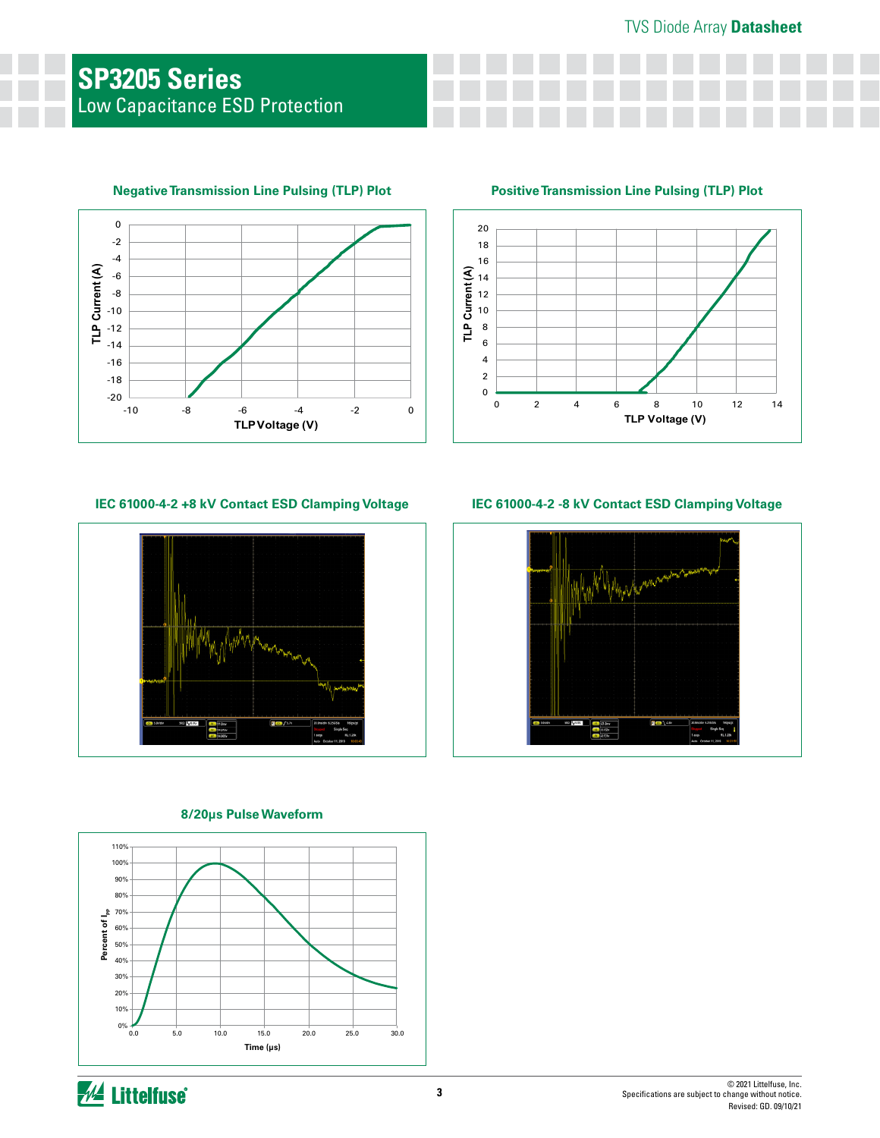

# **Negative Transmission Line Pulsing (TLP) Plot Positive Transmission Line Pulsing (TLP) Plot**



#### **IEC 61000-4-2 +8 kV Contact ESD Clamping Voltage**



### **8/20μs Pulse Waveform**



**IEC 61000-4-2 -8 kV Contact ESD Clamping Voltage**

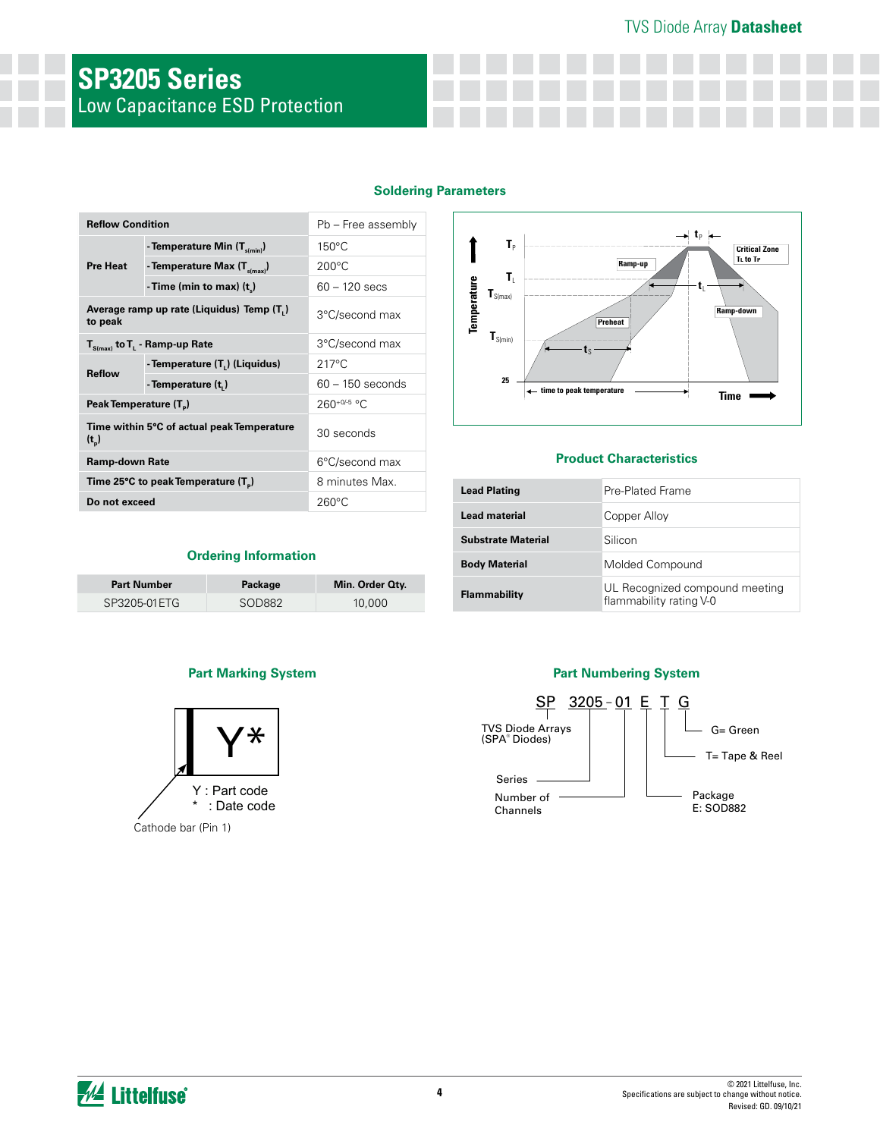# TVS Diode Array **Datasheet**

# **SP3205 Series** Low Capacitance ESD Protection

#### **Soldering Parameters**

| <b>Reflow Condition</b>                         |                                            | Pb - Free assembly |                              |                                  | $-1p$                          |  |  |
|-------------------------------------------------|--------------------------------------------|--------------------|------------------------------|----------------------------------|--------------------------------|--|--|
| - Temperature Min $(T_{s(min)})$                |                                            | $150^{\circ}$ C    |                              | T <sub>p</sub>                   |                                |  |  |
| <b>Pre Heat</b>                                 | - Temperature Max $(T_{\text{simax}})$     | $200^{\circ}$ C    |                              |                                  | Ramp-up<br>τ,                  |  |  |
|                                                 | -Time (min to max) $(t_n)$                 | $60 - 120$ secs    | $\mathbf{T}_{S(max)}$        | T.                               |                                |  |  |
| to peak                                         | Average ramp up rate (Liquidus) Temp (T,)  | 3°C/second max     | Temperature                  |                                  | <b>Preheat</b>                 |  |  |
| $T_{S(max)}$ to $T_{L}$ - Ramp-up Rate          |                                            | 3°C/second max     | $\mathbf{T}_{\text{S(min)}}$ |                                  |                                |  |  |
|                                                 | - Temperature (T.) (Liquidus)              | $217^{\circ}$ C    |                              |                                  |                                |  |  |
| <b>Reflow</b><br>- Temperature (t,)             |                                            | $60 - 150$ seconds |                              | 25<br>← time to peak temperature |                                |  |  |
| Peak Temperature (T <sub>a</sub> )              |                                            | $260^{+0/5}$ °C.   |                              |                                  |                                |  |  |
| $(t_{\rm p})$                                   | Time within 5°C of actual peak Temperature | 30 seconds         |                              |                                  |                                |  |  |
| <b>Ramp-down Rate</b>                           |                                            | 6°C/second max     |                              |                                  | <b>Product Characteristics</b> |  |  |
| Time 25°C to peak Temperature (T <sub>n</sub> ) |                                            | 8 minutes Max.     |                              |                                  | Pre-Plated Frame               |  |  |
| Do not exceed                                   |                                            | $260^{\circ}$ C    | <b>Lead Plating</b>          |                                  |                                |  |  |

#### **Ordering Information**

| <b>Part Number</b> | Package | Min. Order Oty. |
|--------------------|---------|-----------------|
| SP3205-01ETG       | SOD882  | 10,000          |





#### **Product Characteristics**

| <b>Lead Plating</b>       | Pre-Plated Frame                                          |
|---------------------------|-----------------------------------------------------------|
| Lead material             | Copper Alloy                                              |
| <b>Substrate Material</b> | Silicon                                                   |
| <b>Body Material</b>      | Molded Compound                                           |
| <b>Flammability</b>       | UL Recognized compound meeting<br>flammability rating V-0 |

### **Part Marking System Part Numbering System**